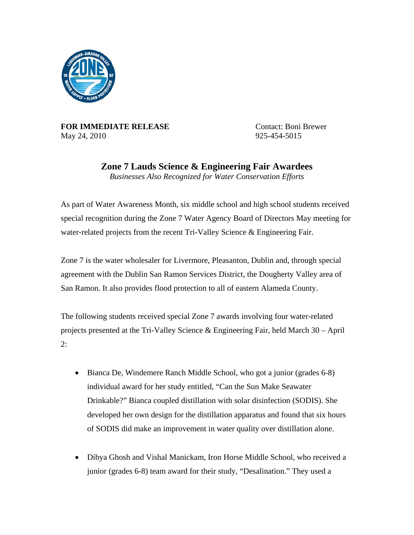

**FOR IMMEDIATE RELEASE** Contact: Boni Brewer May 24, 2010 925-454-5015

**Zone 7 Lauds Science & Engineering Fair Awardees** 

*Businesses Also Recognized for Water Conservation Efforts* 

As part of Water Awareness Month, six middle school and high school students received special recognition during the Zone 7 Water Agency Board of Directors May meeting for water-related projects from the recent Tri-Valley Science & Engineering Fair.

Zone 7 is the water wholesaler for Livermore, Pleasanton, Dublin and, through special agreement with the Dublin San Ramon Services District, the Dougherty Valley area of San Ramon. It also provides flood protection to all of eastern Alameda County.

The following students received special Zone 7 awards involving four water-related projects presented at the Tri-Valley Science & Engineering Fair, held March 30 – April 2:

- Bianca De, Windemere Ranch Middle School, who got a junior (grades 6-8) individual award for her study entitled, "Can the Sun Make Seawater Drinkable?" Bianca coupled distillation with solar disinfection (SODIS). She developed her own design for the distillation apparatus and found that six hours of SODIS did make an improvement in water quality over distillation alone.
- Dibya Ghosh and Vishal Manickam, Iron Horse Middle School, who received a junior (grades 6-8) team award for their study, "Desalination." They used a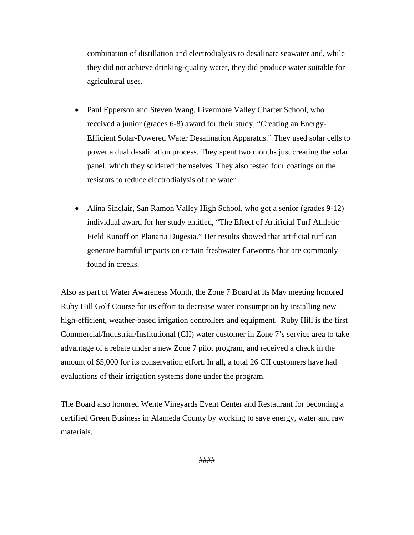combination of distillation and electrodialysis to desalinate seawater and, while they did not achieve drinking-quality water, they did produce water suitable for agricultural uses.

- Paul Epperson and Steven Wang, Livermore Valley Charter School, who received a junior (grades 6-8) award for their study, "Creating an Energy-Efficient Solar-Powered Water Desalination Apparatus." They used solar cells to power a dual desalination process. They spent two months just creating the solar panel, which they soldered themselves. They also tested four coatings on the resistors to reduce electrodialysis of the water.
- Alina Sinclair, San Ramon Valley High School, who got a senior (grades 9-12) individual award for her study entitled, "The Effect of Artificial Turf Athletic Field Runoff on Planaria Dugesia." Her results showed that artificial turf can generate harmful impacts on certain freshwater flatworms that are commonly found in creeks.

Also as part of Water Awareness Month, the Zone 7 Board at its May meeting honored Ruby Hill Golf Course for its effort to decrease water consumption by installing new high-efficient, weather-based irrigation controllers and equipment. Ruby Hill is the first Commercial/Industrial/Institutional (CII) water customer in Zone 7's service area to take advantage of a rebate under a new Zone 7 pilot program, and received a check in the amount of \$5,000 for its conservation effort. In all, a total 26 CII customers have had evaluations of their irrigation systems done under the program.

The Board also honored Wente Vineyards Event Center and Restaurant for becoming a certified Green Business in Alameda County by working to save energy, water and raw materials.